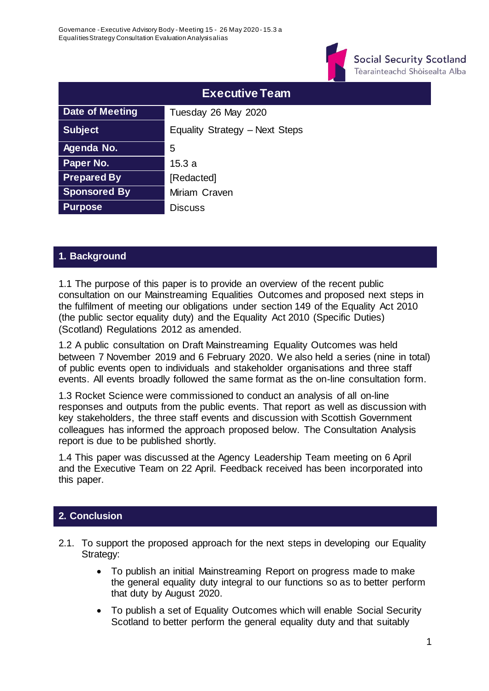

**Social Security Scotland** Tèarainteachd Shòisealta Alba

|                     | <b>Executive Team</b>          |
|---------------------|--------------------------------|
| Date of Meeting     | Tuesday 26 May 2020            |
| <b>Subject</b>      | Equality Strategy - Next Steps |
| Agenda No.          | 5                              |
| Paper No.           | 15.3 a                         |
| <b>Prepared By</b>  | [Redacted]                     |
| <b>Sponsored By</b> | Miriam Craven                  |
| <b>Purpose</b>      | <b>Discuss</b>                 |

## **1. Background**

1.1 The purpose of this paper is to provide an overview of the recent public consultation on our Mainstreaming Equalities Outcomes and proposed next steps in the fulfilment of meeting our obligations under section 149 of the Equality Act 2010 (the public sector equality duty) and the Equality Act 2010 (Specific Duties) (Scotland) Regulations 2012 as amended.

1.2 A public consultation on Draft Mainstreaming Equality Outcomes was held between 7 November 2019 and 6 February 2020. We also held a series (nine in total) of public events open to individuals and stakeholder organisations and three staff events. All events broadly followed the same format as the on-line consultation form.

1.3 Rocket Science were commissioned to conduct an analysis of all on-line responses and outputs from the public events. That report as well as discussion with key stakeholders, the three staff events and discussion with Scottish Government colleagues has informed the approach proposed below. The Consultation Analysis report is due to be published shortly.

1.4 This paper was discussed at the Agency Leadership Team meeting on 6 April and the Executive Team on 22 April. Feedback received has been incorporated into this paper.

### **2. Conclusion**

- 2.1. To support the proposed approach for the next steps in developing our Equality Strategy:
	- To publish an initial Mainstreaming Report on progress made to make the general equality duty integral to our functions so as to better perform that duty by August 2020.
	- To publish a set of Equality Outcomes which will enable Social Security Scotland to better perform the general equality duty and that suitably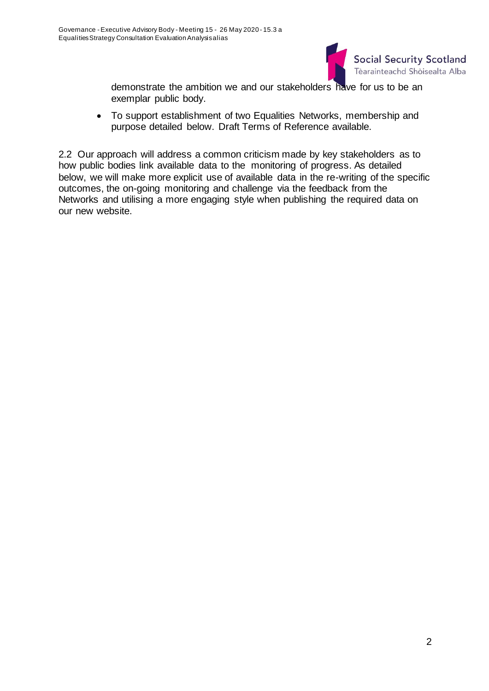

demonstrate the ambition we and our stakeholders have for us to be an exemplar public body.

 To support establishment of two Equalities Networks, membership and purpose detailed below. Draft Terms of Reference available.

2.2 Our approach will address a common criticism made by key stakeholders as to how public bodies link available data to the monitoring of progress. As detailed below, we will make more explicit use of available data in the re-writing of the specific outcomes, the on-going monitoring and challenge via the feedback from the Networks and utilising a more engaging style when publishing the required data on our new website.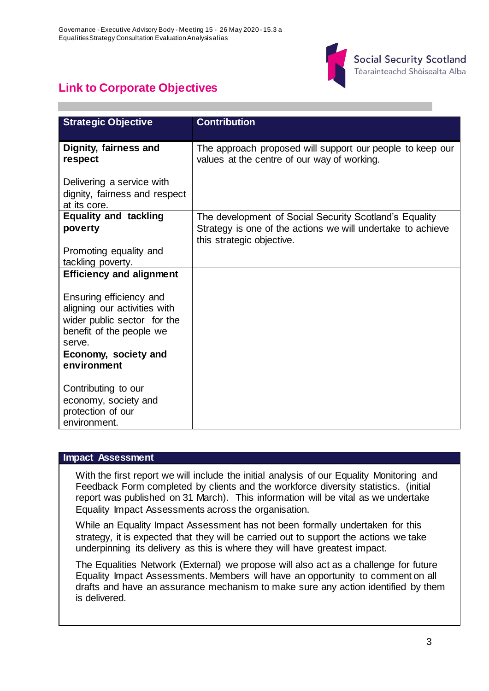

# **Link to Corporate Objectives**

| <b>Strategic Objective</b>      | <b>Contribution</b>                                         |  |
|---------------------------------|-------------------------------------------------------------|--|
|                                 |                                                             |  |
| Dignity, fairness and           | The approach proposed will support our people to keep our   |  |
| respect                         | values at the centre of our way of working.                 |  |
|                                 |                                                             |  |
| Delivering a service with       |                                                             |  |
| dignity, fairness and respect   |                                                             |  |
| at its core.                    |                                                             |  |
| <b>Equality and tackling</b>    | The development of Social Security Scotland's Equality      |  |
| poverty                         | Strategy is one of the actions we will undertake to achieve |  |
|                                 | this strategic objective.                                   |  |
| Promoting equality and          |                                                             |  |
| tackling poverty.               |                                                             |  |
| <b>Efficiency and alignment</b> |                                                             |  |
|                                 |                                                             |  |
| Ensuring efficiency and         |                                                             |  |
| aligning our activities with    |                                                             |  |
| wider public sector for the     |                                                             |  |
| benefit of the people we        |                                                             |  |
| serve.                          |                                                             |  |
| Economy, society and            |                                                             |  |
| environment                     |                                                             |  |
|                                 |                                                             |  |
| Contributing to our             |                                                             |  |
| economy, society and            |                                                             |  |
| protection of our               |                                                             |  |
| environment.                    |                                                             |  |

#### **Impact Assessment**

With the first report we will include the initial analysis of our Equality Monitoring and Feedback Form completed by clients and the workforce diversity statistics. (initial report was published on 31 March). This information will be vital as we undertake Equality Impact Assessments across the organisation.

While an Equality Impact Assessment has not been formally undertaken for this strategy, it is expected that they will be carried out to support the actions we take underpinning its delivery as this is where they will have greatest impact.

The Equalities Network (External) we propose will also act as a challenge for future Equality Impact Assessments. Members will have an opportunity to comment on all drafts and have an assurance mechanism to make sure any action identified by them is delivered.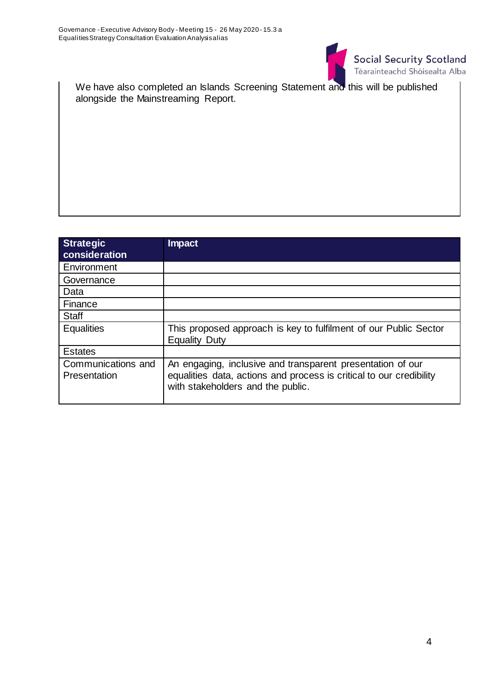

We have also completed an Islands Screening Statement and this will be published alongside the Mainstreaming Report.

| <b>Strategic</b><br>consideration  | Impact                                                                                                                                                                 |
|------------------------------------|------------------------------------------------------------------------------------------------------------------------------------------------------------------------|
| Environment                        |                                                                                                                                                                        |
| Governance                         |                                                                                                                                                                        |
| Data                               |                                                                                                                                                                        |
| Finance                            |                                                                                                                                                                        |
| <b>Staff</b>                       |                                                                                                                                                                        |
| <b>Equalities</b>                  | This proposed approach is key to fulfilment of our Public Sector<br><b>Equality Duty</b>                                                                               |
| <b>Estates</b>                     |                                                                                                                                                                        |
| Communications and<br>Presentation | An engaging, inclusive and transparent presentation of our<br>equalities data, actions and process is critical to our credibility<br>with stakeholders and the public. |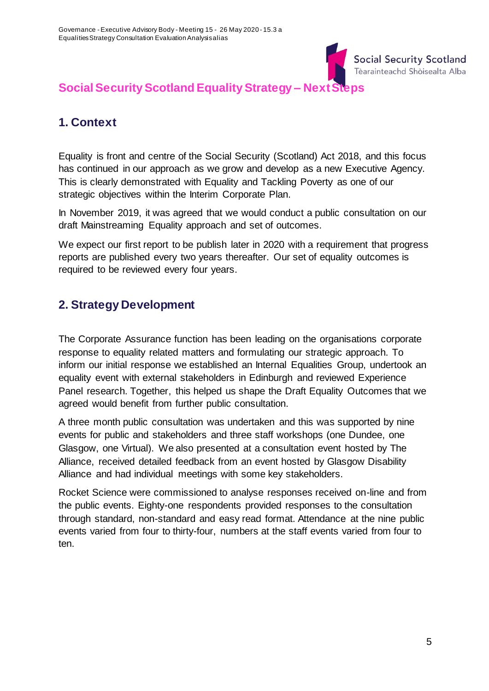

# **Social Security Scotland Equality Strategy – Next Steps**

# **1. Context**

Equality is front and centre of the Social Security (Scotland) Act 2018, and this focus has continued in our approach as we grow and develop as a new Executive Agency. This is clearly demonstrated with Equality and Tackling Poverty as one of our strategic objectives within the Interim Corporate Plan.

In November 2019, it was agreed that we would conduct a public consultation on our draft Mainstreaming Equality approach and set of outcomes.

We expect our first report to be publish later in 2020 with a requirement that progress reports are published every two years thereafter. Our set of equality outcomes is required to be reviewed every four years.

## **2. Strategy Development**

The Corporate Assurance function has been leading on the organisations corporate response to equality related matters and formulating our strategic approach. To inform our initial response we established an Internal Equalities Group, undertook an equality event with external stakeholders in Edinburgh and reviewed Experience Panel research. Together, this helped us shape the Draft Equality Outcomes that we agreed would benefit from further public consultation.

A three month public consultation was undertaken and this was supported by nine events for public and stakeholders and three staff workshops (one Dundee, one Glasgow, one Virtual). We also presented at a consultation event hosted by The Alliance, received detailed feedback from an event hosted by Glasgow Disability Alliance and had individual meetings with some key stakeholders.

Rocket Science were commissioned to analyse responses received on-line and from the public events. Eighty-one respondents provided responses to the consultation through standard, non-standard and easy read format. Attendance at the nine public events varied from four to thirty-four, numbers at the staff events varied from four to ten.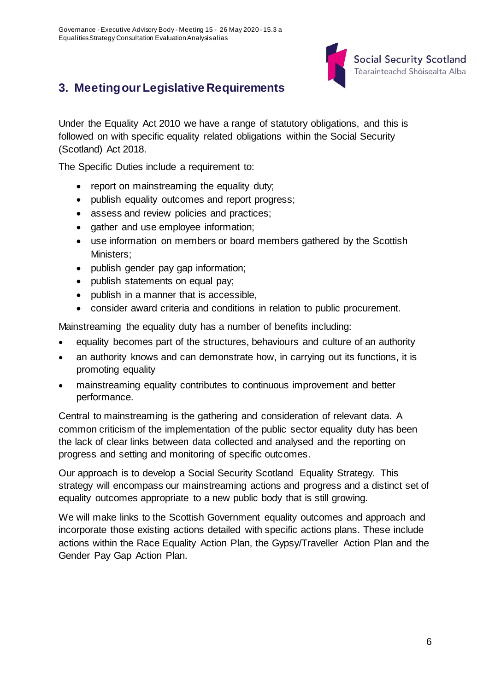

# **3. Meeting our Legislative Requirements**

Under the Equality Act 2010 we have a range of statutory obligations, and this is followed on with specific equality related obligations within the Social Security (Scotland) Act 2018.

The Specific Duties include a requirement to:

- report on mainstreaming the equality duty;
- publish equality outcomes and report progress;
- assess and review policies and practices;
- gather and use employee information;
- use information on members or board members gathered by the Scottish Ministers;
- publish gender pay gap information;
- publish statements on equal pay;
- publish in a manner that is accessible,
- consider award criteria and conditions in relation to public procurement.

Mainstreaming the equality duty has a number of benefits including:

- equality becomes part of the structures, behaviours and culture of an authority
- an authority knows and can demonstrate how, in carrying out its functions, it is promoting equality
- mainstreaming equality contributes to continuous improvement and better performance.

Central to mainstreaming is the gathering and consideration of relevant data. A common criticism of the implementation of the public sector equality duty has been the lack of clear links between data collected and analysed and the reporting on progress and setting and monitoring of specific outcomes.

Our approach is to develop a Social Security Scotland Equality Strategy. This strategy will encompass our mainstreaming actions and progress and a distinct set of equality outcomes appropriate to a new public body that is still growing.

We will make links to the Scottish Government equality outcomes and approach and incorporate those existing actions detailed with specific actions plans. These include actions within the Race Equality Action Plan, the Gypsy/Traveller Action Plan and the Gender Pay Gap Action Plan.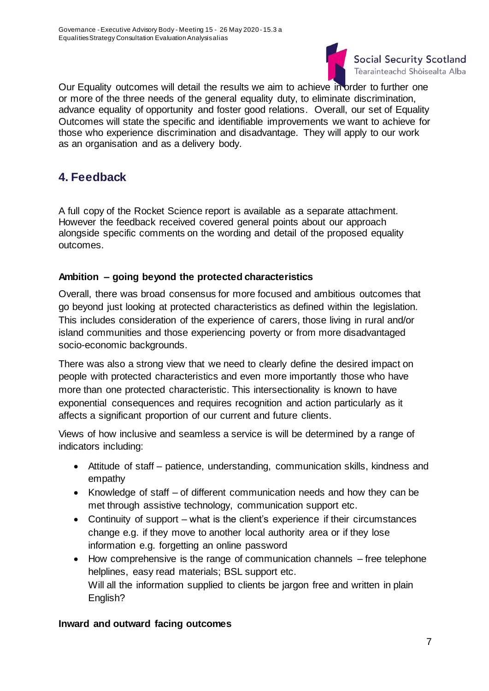

Our Equality outcomes will detail the results we aim to achieve in order to further one or more of the three needs of the general equality duty, to eliminate discrimination, advance equality of opportunity and foster good relations. Overall, our set of Equality Outcomes will state the specific and identifiable improvements we want to achieve for those who experience discrimination and disadvantage. They will apply to our work as an organisation and as a delivery body.

## **4. Feedback**

A full copy of the Rocket Science report is available as a separate attachment. However the feedback received covered general points about our approach alongside specific comments on the wording and detail of the proposed equality outcomes.

## **Ambition – going beyond the protected characteristics**

Overall, there was broad consensus for more focused and ambitious outcomes that go beyond just looking at protected characteristics as defined within the legislation. This includes consideration of the experience of carers, those living in rural and/or island communities and those experiencing poverty or from more disadvantaged socio-economic backgrounds.

There was also a strong view that we need to clearly define the desired impact on people with protected characteristics and even more importantly those who have more than one protected characteristic. This intersectionality is known to have exponential consequences and requires recognition and action particularly as it affects a significant proportion of our current and future clients.

Views of how inclusive and seamless a service is will be determined by a range of indicators including:

- Attitude of staff patience, understanding, communication skills, kindness and empathy
- Knowledge of staff of different communication needs and how they can be met through assistive technology, communication support etc.
- Continuity of support what is the client's experience if their circumstances change e.g. if they move to another local authority area or if they lose information e.g. forgetting an online password
- How comprehensive is the range of communication channels free telephone helplines, easy read materials; BSL support etc. Will all the information supplied to clients be jargon free and written in plain English?

### **Inward and outward facing outcomes**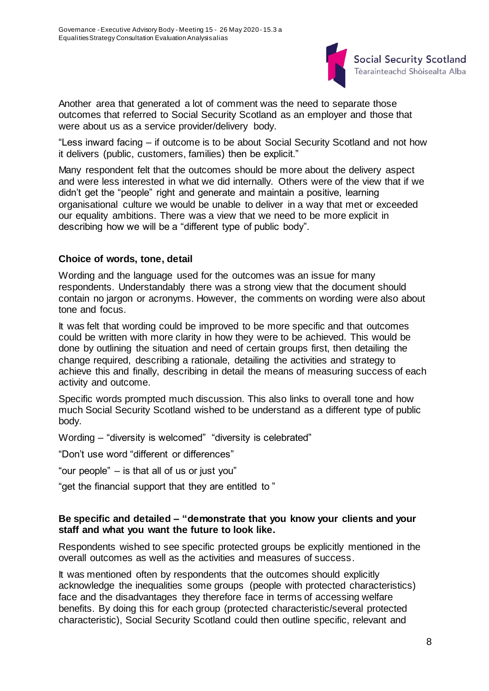

Another area that generated a lot of comment was the need to separate those outcomes that referred to Social Security Scotland as an employer and those that were about us as a service provider/delivery body.

"Less inward facing – if outcome is to be about Social Security Scotland and not how it delivers (public, customers, families) then be explicit."

Many respondent felt that the outcomes should be more about the delivery aspect and were less interested in what we did internally. Others were of the view that if we didn't get the "people" right and generate and maintain a positive, learning organisational culture we would be unable to deliver in a way that met or exceeded our equality ambitions. There was a view that we need to be more explicit in describing how we will be a "different type of public body".

### **Choice of words, tone, detail**

Wording and the language used for the outcomes was an issue for many respondents. Understandably there was a strong view that the document should contain no jargon or acronyms. However, the comments on wording were also about tone and focus.

It was felt that wording could be improved to be more specific and that outcomes could be written with more clarity in how they were to be achieved. This would be done by outlining the situation and need of certain groups first, then detailing the change required, describing a rationale, detailing the activities and strategy to achieve this and finally, describing in detail the means of measuring success of each activity and outcome.

Specific words prompted much discussion. This also links to overall tone and how much Social Security Scotland wished to be understand as a different type of public body.

Wording – "diversity is welcomed" "diversity is celebrated"

"Don't use word "different or differences"

"our people" – is that all of us or just you"

"get the financial support that they are entitled to "

#### **Be specific and detailed – "demonstrate that you know your clients and your staff and what you want the future to look like.**

Respondents wished to see specific protected groups be explicitly mentioned in the overall outcomes as well as the activities and measures of success.

It was mentioned often by respondents that the outcomes should explicitly acknowledge the inequalities some groups (people with protected characteristics) face and the disadvantages they therefore face in terms of accessing welfare benefits. By doing this for each group (protected characteristic/several protected characteristic), Social Security Scotland could then outline specific, relevant and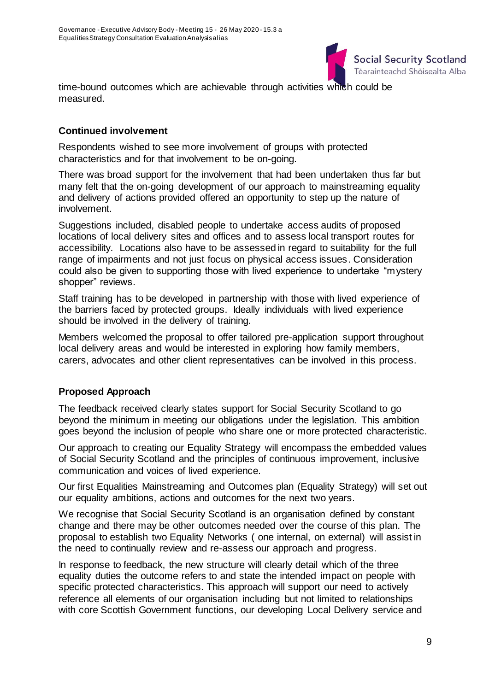

time-bound outcomes which are achievable through activities which could be measured.

### **Continued involvement**

Respondents wished to see more involvement of groups with protected characteristics and for that involvement to be on-going.

There was broad support for the involvement that had been undertaken thus far but many felt that the on-going development of our approach to mainstreaming equality and delivery of actions provided offered an opportunity to step up the nature of involvement.

Suggestions included, disabled people to undertake access audits of proposed locations of local delivery sites and offices and to assess local transport routes for accessibility. Locations also have to be assessed in regard to suitability for the full range of impairments and not just focus on physical access issues. Consideration could also be given to supporting those with lived experience to undertake "mystery shopper" reviews.

Staff training has to be developed in partnership with those with lived experience of the barriers faced by protected groups. Ideally individuals with lived experience should be involved in the delivery of training.

Members welcomed the proposal to offer tailored pre-application support throughout local delivery areas and would be interested in exploring how family members, carers, advocates and other client representatives can be involved in this process.

### **Proposed Approach**

The feedback received clearly states support for Social Security Scotland to go beyond the minimum in meeting our obligations under the legislation. This ambition goes beyond the inclusion of people who share one or more protected characteristic.

Our approach to creating our Equality Strategy will encompass the embedded values of Social Security Scotland and the principles of continuous improvement, inclusive communication and voices of lived experience.

Our first Equalities Mainstreaming and Outcomes plan (Equality Strategy) will set out our equality ambitions, actions and outcomes for the next two years.

We recognise that Social Security Scotland is an organisation defined by constant change and there may be other outcomes needed over the course of this plan. The proposal to establish two Equality Networks ( one internal, on external) will assist in the need to continually review and re-assess our approach and progress.

In response to feedback, the new structure will clearly detail which of the three equality duties the outcome refers to and state the intended impact on people with specific protected characteristics. This approach will support our need to actively reference all elements of our organisation including but not limited to relationships with core Scottish Government functions, our developing Local Delivery service and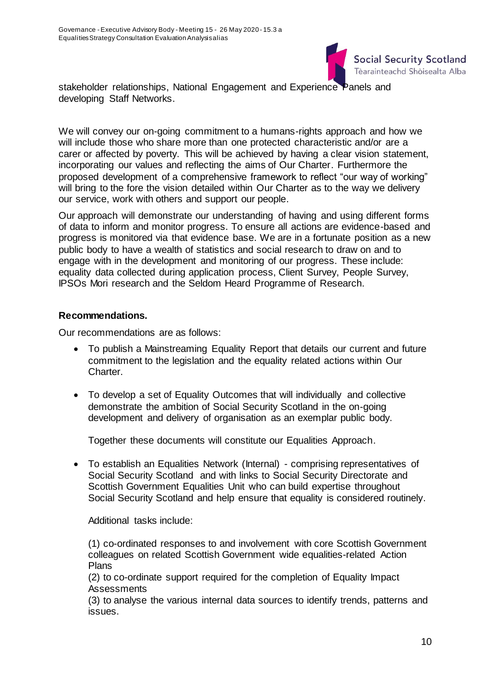

stakeholder relationships, National Engagement and Experience Panels and developing Staff Networks.

We will convey our on-going commitment to a humans-rights approach and how we will include those who share more than one protected characteristic and/or are a carer or affected by poverty. This will be achieved by having a clear vision statement, incorporating our values and reflecting the aims of Our Charter. Furthermore the proposed development of a comprehensive framework to reflect "our way of working" will bring to the fore the vision detailed within Our Charter as to the way we delivery our service, work with others and support our people.

Our approach will demonstrate our understanding of having and using different forms of data to inform and monitor progress. To ensure all actions are evidence-based and progress is monitored via that evidence base. We are in a fortunate position as a new public body to have a wealth of statistics and social research to draw on and to engage with in the development and monitoring of our progress. These include: equality data collected during application process, Client Survey, People Survey, IPSOs Mori research and the Seldom Heard Programme of Research.

### **Recommendations.**

Our recommendations are as follows:

- To publish a Mainstreaming Equality Report that details our current and future commitment to the legislation and the equality related actions within Our Charter.
- To develop a set of Equality Outcomes that will individually and collective demonstrate the ambition of Social Security Scotland in the on-going development and delivery of organisation as an exemplar public body.

Together these documents will constitute our Equalities Approach.

 To establish an Equalities Network (Internal) - comprising representatives of Social Security Scotland and with links to Social Security Directorate and Scottish Government Equalities Unit who can build expertise throughout Social Security Scotland and help ensure that equality is considered routinely.

Additional tasks include:

(1) co-ordinated responses to and involvement with core Scottish Government colleagues on related Scottish Government wide equalities-related Action Plans

(2) to co-ordinate support required for the completion of Equality Impact **Assessments** 

(3) to analyse the various internal data sources to identify trends, patterns and issues.